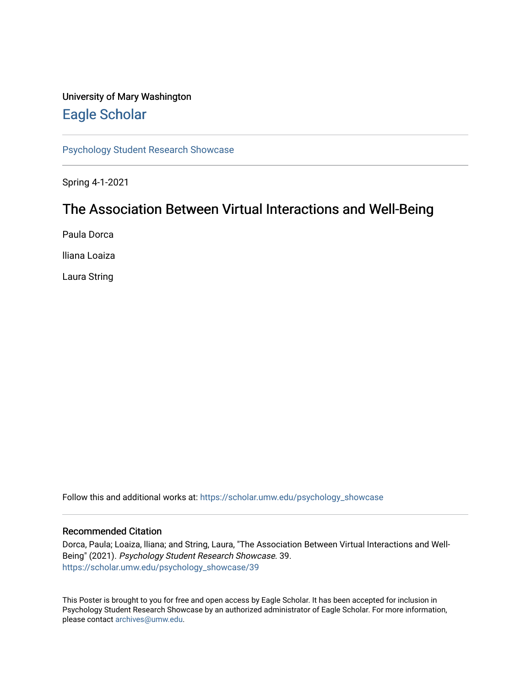### University of Mary Washington [Eagle Scholar](https://scholar.umw.edu/)

[Psychology Student Research Showcase](https://scholar.umw.edu/psychology_showcase)

Spring 4-1-2021

### The Association Between Virtual Interactions and Well-Being

Paula Dorca

lliana Loaiza

Laura String

Follow this and additional works at: [https://scholar.umw.edu/psychology\\_showcase](https://scholar.umw.edu/psychology_showcase?utm_source=scholar.umw.edu%2Fpsychology_showcase%2F39&utm_medium=PDF&utm_campaign=PDFCoverPages)

### Recommended Citation

Dorca, Paula; Loaiza, lliana; and String, Laura, "The Association Between Virtual Interactions and Well-Being" (2021). Psychology Student Research Showcase. 39. [https://scholar.umw.edu/psychology\\_showcase/39](https://scholar.umw.edu/psychology_showcase/39?utm_source=scholar.umw.edu%2Fpsychology_showcase%2F39&utm_medium=PDF&utm_campaign=PDFCoverPages) 

This Poster is brought to you for free and open access by Eagle Scholar. It has been accepted for inclusion in Psychology Student Research Showcase by an authorized administrator of Eagle Scholar. For more information, please contact [archives@umw.edu.](mailto:archives@umw.edu)